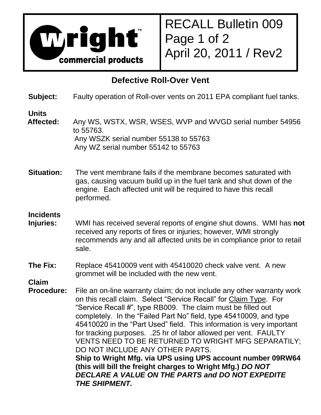

RECALL Bulletin 009 Page 1 of 2 April 20, 2011 / Rev2

## **Defective Roll-Over Vent**

**Subject:** Faulty operation of Roll-over vents on 2011 EPA compliant fuel tanks.

## **Units**

- Affected: Any WS, WSTX, WSR, WSES, WVP and WVGD serial number 54956 to 55763. Any WSZK serial number 55138 to 55763 Any WZ serial number 55142 to 55763
- **Situation:** The vent membrane fails if the membrane becomes saturated with gas, causing vacuum build up in the fuel tank and shut down of the engine. Each affected unit will be required to have this recall performed.

## **Incidents**

- **Injuries:** WMI has received several reports of engine shut downs. WMI has **not** received any reports of fires or injuries; however, WMI strongly recommends any and all affected units be in compliance prior to retail sale.
- **The Fix:** Replace 45410009 vent with 45410020 check valve vent. A new grommet will be included with the new vent.

**Claim**

**Procedure:** File an on-line warranty claim; do not include any other warranty work on this recall claim. Select "Service Recall" for Claim Type. For "Service Recall #", type RB009. The claim must be filled out completely. In the "Failed Part No" field, type 45410009, and type 45410020 in the "Part Used" field. This information is very important for tracking purposes. .25 hr of labor allowed per vent. FAULTY VENTS NEED TO BE RETURNED TO WRIGHT MFG SEPARATILY; DO NOT INCLUDE ANY OTHER PARTS. **Ship to Wright Mfg. via UPS using UPS account number 09RW64 (this will bill the freight charges to Wright Mfg.)** *DO NOT DECLARE A VALUE ON THE PARTS and DO NOT EXPEDITE THE SHIPMENT.*